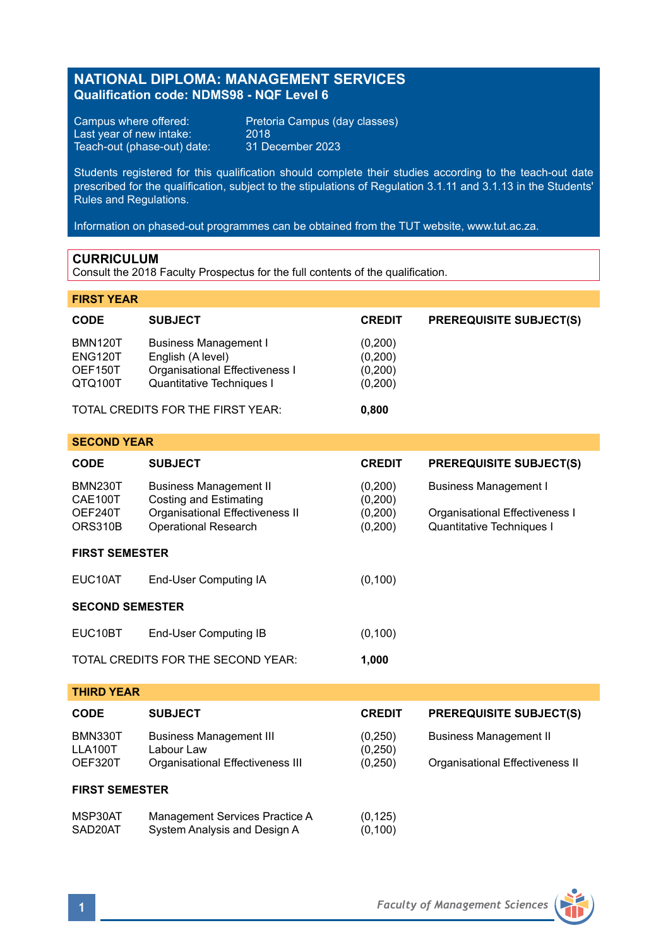# **NATIONAL DIPLOMA: MANAGEMENT SERVICES Qualification code: NDMS98 - NQF Level 6**

Last year of new intake: 2018<br>Teach-out (phase-out) date: 31 December 2023 Teach-out (phase-out) date:

Campus where offered: Pretoria Campus (day classes)<br>Last year of new intake: 2018

Students registered for this qualification should complete their studies according to the teach-out date prescribed for the qualification, subject to the stipulations of Regulation 3.1.11 and 3.1.13 in the Students' Rules and Regulations.

Information on phased-out programmes can be obtained from the TUT website, www.tut.ac.za.

## **CURRICULUM**

Consult the 2018 Faculty Prospectus for the full contents of the qualification.

## **FIRST YEAR**

| <b>CODE</b>                       | <b>SUBJECT</b>                 | <b>CREDIT</b> | <b>PREREQUISITE SUBJECT(S)</b> |
|-----------------------------------|--------------------------------|---------------|--------------------------------|
| <b>BMN120T</b>                    | <b>Business Management I</b>   | (0,200)       |                                |
| ENG120T                           | English (A level)              | (0, 200)      |                                |
| OEF150T                           | Organisational Effectiveness I | (0,200)       |                                |
| QTQ100T                           | Quantitative Techniques I      | (0,200)       |                                |
| TOTAL CREDITS FOR THE FIRST YEAR: |                                | 0.800         |                                |

| <b>CODE</b>                                     | <b>SUBJECT</b>                                                                                                            | <b>CREDIT</b>                             | <b>PREREQUISITE SUBJECT(S)</b>                                                              |  |  |  |  |
|-------------------------------------------------|---------------------------------------------------------------------------------------------------------------------------|-------------------------------------------|---------------------------------------------------------------------------------------------|--|--|--|--|
| <b>BMN230T</b><br>CAE100T<br>OEF240T<br>ORS310B | <b>Business Management II</b><br>Costing and Estimating<br>Organisational Effectiveness II<br><b>Operational Research</b> | (0,200)<br>(0,200)<br>(0, 200)<br>(0,200) | <b>Business Management I</b><br>Organisational Effectiveness I<br>Quantitative Techniques I |  |  |  |  |
| <b>FIRST SEMESTER</b>                           |                                                                                                                           |                                           |                                                                                             |  |  |  |  |
| EUC10AT                                         | End-User Computing IA                                                                                                     | (0, 100)                                  |                                                                                             |  |  |  |  |
| <b>SECOND SEMESTER</b>                          |                                                                                                                           |                                           |                                                                                             |  |  |  |  |
| EUC10BT                                         | End-User Computing IB                                                                                                     | (0, 100)                                  |                                                                                             |  |  |  |  |
| TOTAL CREDITS FOR THE SECOND YEAR:<br>1,000     |                                                                                                                           |                                           |                                                                                             |  |  |  |  |
| <b>THIRD YEAR</b>                               |                                                                                                                           |                                           |                                                                                             |  |  |  |  |
| <b>CODE</b>                                     | <b>SUBJECT</b>                                                                                                            | <b>CREDIT</b>                             | <b>PREREQUISITE SUBJECT(S)</b>                                                              |  |  |  |  |
| <b>BMN330T</b><br>LLA100T<br>OEF320T            | <b>Business Management III</b><br>I about Law<br>Organisational Effectiveness III                                         | (0, 250)<br>(0, 250)<br>(0, 250)          | <b>Business Management II</b><br>Organisational Effectiveness II                            |  |  |  |  |
| <b>FIRST SEMESTER</b>                           |                                                                                                                           |                                           |                                                                                             |  |  |  |  |
| <b>MCD20AT</b>                                  | Managament Convices Drastice A                                                                                            | (0.195)                                   |                                                                                             |  |  |  |  |

MSP30AT Management Services Practice A (0,125)<br>SAD20AT System Analysis and Design A (0,100) SAD20AT System Analysis and Design A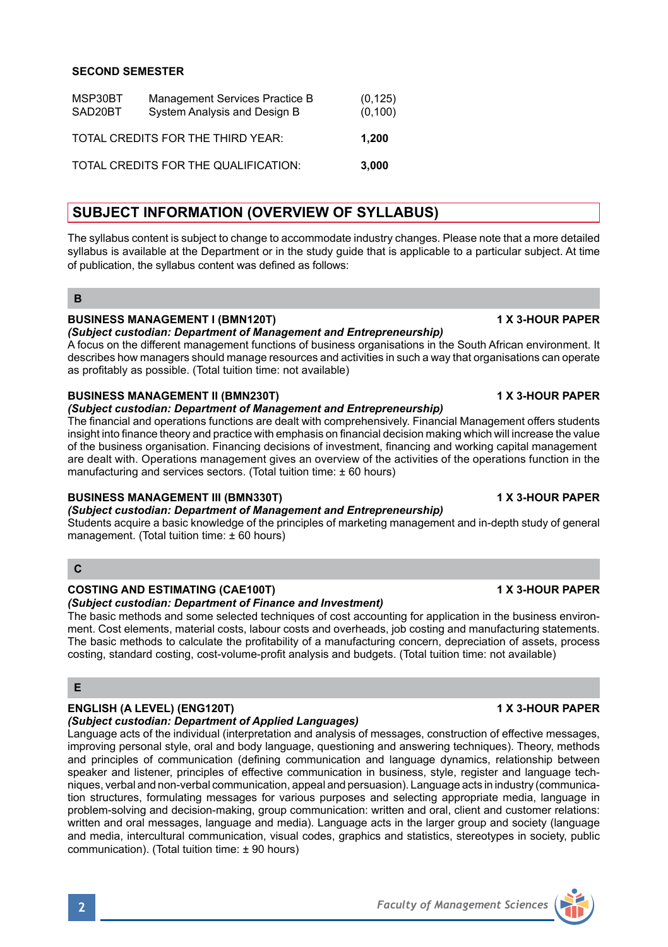# **SECOND SEMESTER**

| MSP30BT<br>SAD20BT | Management Services Practice B<br>System Analysis and Design B | (0, 125)<br>(0, 100) |
|--------------------|----------------------------------------------------------------|----------------------|
|                    | TOTAL CREDITS FOR THE THIRD YEAR:                              | 1.200                |
|                    | TOTAL CREDITS FOR THE QUALIFICATION:                           | 3.000                |

# **SUBJECT INFORMATION (OVERVIEW OF SYLLABUS)**

The syllabus content is subject to change to accommodate industry changes. Please note that a more detailed syllabus is available at the Department or in the study guide that is applicable to a particular subject. At time of publication, the syllabus content was defined as follows:

## **B**

## **BUSINESS MANAGEMENT I (BMN120T) 1 X 3-HOUR PAPER**

*(Subject custodian: Department of Management and Entrepreneurship)*

A focus on the different management functions of business organisations in the South African environment. It describes how managers should manage resources and activities in such a way that organisations can operate as profitably as possible. (Total tuition time: not available)

## **BUSINESS MANAGEMENT II (BMN230T) 1 X 3-HOUR PAPER**

### *(Subject custodian: Department of Management and Entrepreneurship)*

The financial and operations functions are dealt with comprehensively. Financial Management offers students insight into finance theory and practice with emphasis on financial decision making which will increase the value of the business organisation. Financing decisions of investment, financing and working capital management are dealt with. Operations management gives an overview of the activities of the operations function in the manufacturing and services sectors. (Total tuition time: ± 60 hours)

## **BUSINESS MANAGEMENT III (BMN330T) 1 X 3-HOUR PAPER**

## *(Subject custodian: Department of Management and Entrepreneurship)*

Students acquire a basic knowledge of the principles of marketing management and in-depth study of general management. (Total tuition time: ± 60 hours)

## **C**

## **COSTING AND ESTIMATING (CAE100T) 1 X 3-HOUR PAPER**

## *(Subject custodian: Department of Finance and Investment)*

The basic methods and some selected techniques of cost accounting for application in the business environment. Cost elements, material costs, labour costs and overheads, job costing and manufacturing statements. The basic methods to calculate the profitability of a manufacturing concern, depreciation of assets, process costing, standard costing, cost-volume-profit analysis and budgets. (Total tuition time: not available)

## **E**

# **ENGLISH (A LEVEL) (ENG120T) 1 X 3-HOUR PAPER**

# *(Subject custodian: Department of Applied Languages)*

Language acts of the individual (interpretation and analysis of messages, construction of effective messages, improving personal style, oral and body language, questioning and answering techniques). Theory, methods and principles of communication (defining communication and language dynamics, relationship between speaker and listener, principles of effective communication in business, style, register and language techniques, verbal and non-verbal communication, appeal and persuasion). Language acts in industry (communication structures, formulating messages for various purposes and selecting appropriate media, language in problem-solving and decision-making, group communication: written and oral, client and customer relations: written and oral messages, language and media). Language acts in the larger group and society (language and media, intercultural communication, visual codes, graphics and statistics, stereotypes in society, public communication). (Total tuition time: ± 90 hours)

**2** *Faculty of Management Sciences*

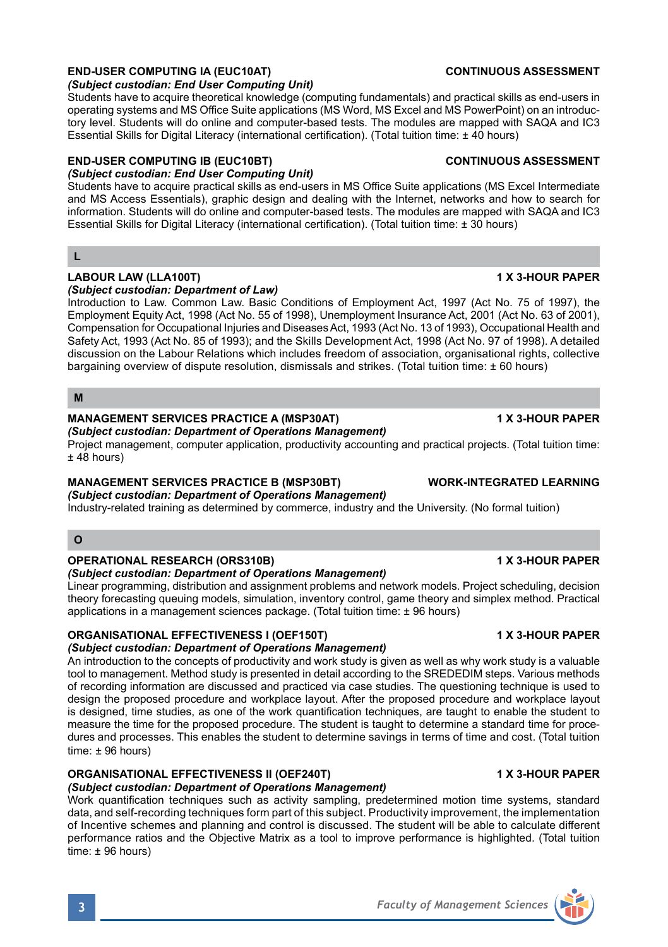# **END-USER COMPUTING IA (EUC10AT) CONTINUOUS ASSESSMENT**

### *(Subject custodian: End User Computing Unit)*

Students have to acquire theoretical knowledge (computing fundamentals) and practical skills as end-users in operating systems and MS Office Suite applications (MS Word, MS Excel and MS PowerPoint) on an introductory level. Students will do online and computer-based tests. The modules are mapped with SAQA and IC3 Essential Skills for Digital Literacy (international certification). (Total tuition time: ± 40 hours)

## **END-USER COMPUTING IB (EUC10BT) CONTINUOUS ASSESSMENT**

*(Subject custodian: End User Computing Unit)*

Students have to acquire practical skills as end-users in MS Office Suite applications (MS Excel Intermediate and MS Access Essentials), graphic design and dealing with the Internet, networks and how to search for information. Students will do online and computer-based tests. The modules are mapped with SAQA and IC3 Essential Skills for Digital Literacy (international certification). (Total tuition time: ± 30 hours)

## **L**

### **LABOUR LAW (LLA100T) 1 X 3-HOUR PAPER** *(Subject custodian: Department of Law)*

Introduction to Law. Common Law. Basic Conditions of Employment Act, 1997 (Act No. 75 of 1997), the Employment Equity Act, 1998 (Act No. 55 of 1998), Unemployment Insurance Act, 2001 (Act No. 63 of 2001), Compensation for Occupational Injuries and Diseases Act, 1993 (Act No. 13 of 1993), Occupational Health and Safety Act, 1993 (Act No. 85 of 1993); and the Skills Development Act, 1998 (Act No. 97 of 1998). A detailed discussion on the Labour Relations which includes freedom of association, organisational rights, collective bargaining overview of dispute resolution, dismissals and strikes. (Total tuition time: +60 hours)

**M**

## **MANAGEMENT SERVICES PRACTICE A (MSP30AT) 1 X 3-HOUR PAPER**

# *(Subject custodian: Department of Operations Management)*

Project management, computer application, productivity accounting and practical projects. (Total tuition time: ± 48 hours)

## **MANAGEMENT SERVICES PRACTICE B (MSP30BT) WORK-INTEGRATED LEARNING**

*(Subject custodian: Department of Operations Management)* Industry-related training as determined by commerce, industry and the University. (No formal tuition)

## **O**

### **OPERATIONAL RESEARCH (ORS310B) 1 X 3-HOUR PAPER**

### *(Subject custodian: Department of Operations Management)*

Linear programming, distribution and assignment problems and network models. Project scheduling, decision theory forecasting queuing models, simulation, inventory control, game theory and simplex method. Practical applications in a management sciences package. (Total tuition time: ± 96 hours)

## **ORGANISATIONAL EFFECTIVENESS I (OEF150T) 1 X 3-HOUR PAPER**

## *(Subject custodian: Department of Operations Management)*

An introduction to the concepts of productivity and work study is given as well as why work study is a valuable tool to management. Method study is presented in detail according to the SREDEDIM steps. Various methods of recording information are discussed and practiced via case studies. The questioning technique is used to design the proposed procedure and workplace layout. After the proposed procedure and workplace layout is designed, time studies, as one of the work quantification techniques, are taught to enable the student to measure the time for the proposed procedure. The student is taught to determine a standard time for procedures and processes. This enables the student to determine savings in terms of time and cost. (Total tuition time: ± 96 hours)

# **ORGANISATIONAL EFFECTIVENESS II (OEF240T) 1 X 3-HOUR PAPER**

# *(Subject custodian: Department of Operations Management)*

Work quantification techniques such as activity sampling, predetermined motion time systems, standard data, and self-recording techniques form part of this subject. Productivity improvement, the implementation of Incentive schemes and planning and control is discussed. The student will be able to calculate different performance ratios and the Objective Matrix as a tool to improve performance is highlighted. (Total tuition time: ± 96 hours)